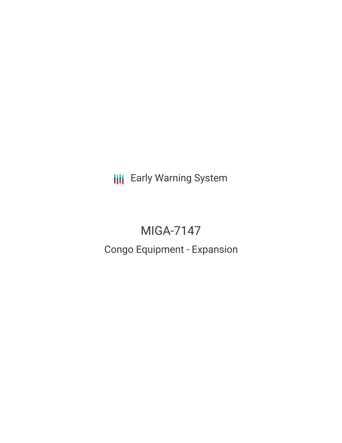**III** Early Warning System

# MIGA-7147

## Congo Equipment - Expansion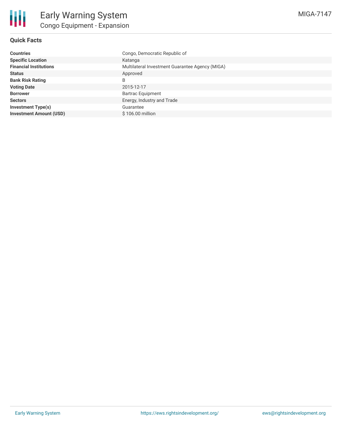### **Quick Facts**

| <b>Countries</b>               | Congo, Democratic Republic of                   |
|--------------------------------|-------------------------------------------------|
| <b>Specific Location</b>       | Katanga                                         |
| <b>Financial Institutions</b>  | Multilateral Investment Guarantee Agency (MIGA) |
| <b>Status</b>                  | Approved                                        |
| <b>Bank Risk Rating</b>        | B                                               |
| <b>Voting Date</b>             | 2015-12-17                                      |
| <b>Borrower</b>                | <b>Bartrac Equipment</b>                        |
| <b>Sectors</b>                 | Energy, Industry and Trade                      |
| <b>Investment Type(s)</b>      | Guarantee                                       |
| <b>Investment Amount (USD)</b> | \$106.00 million                                |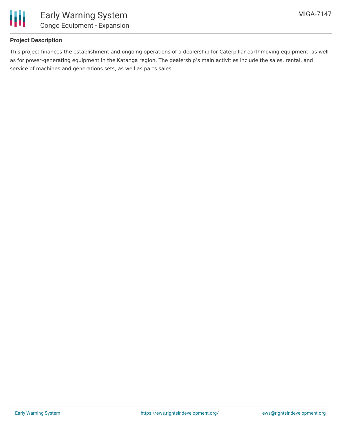

#### **Project Description**

This project finances the establishment and ongoing operations of a dealership for Caterpillar earthmoving equipment, as well as for power-generating equipment in the Katanga region. The dealership's main activities include the sales, rental, and service of machines and generations sets, as well as parts sales.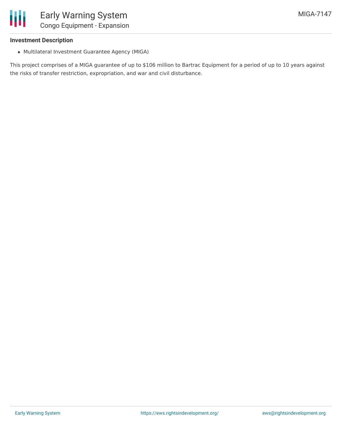

#### **Investment Description**

Multilateral Investment Guarantee Agency (MIGA)

This project comprises of a MIGA guarantee of up to \$106 million to Bartrac Equipment for a period of up to 10 years against the risks of transfer restriction, expropriation, and war and civil disturbance.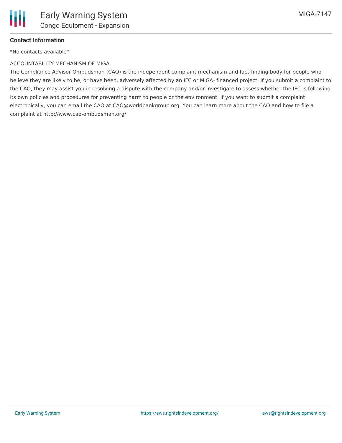

#### **Contact Information**

\*No contacts available\*

#### ACCOUNTABILITY MECHANISM OF MIGA

The Compliance Advisor Ombudsman (CAO) is the independent complaint mechanism and fact-finding body for people who believe they are likely to be, or have been, adversely affected by an IFC or MIGA- financed project. If you submit a complaint to the CAO, they may assist you in resolving a dispute with the company and/or investigate to assess whether the IFC is following its own policies and procedures for preventing harm to people or the environment. If you want to submit a complaint electronically, you can email the CAO at CAO@worldbankgroup.org. You can learn more about the CAO and how to file a complaint at http://www.cao-ombudsman.org/